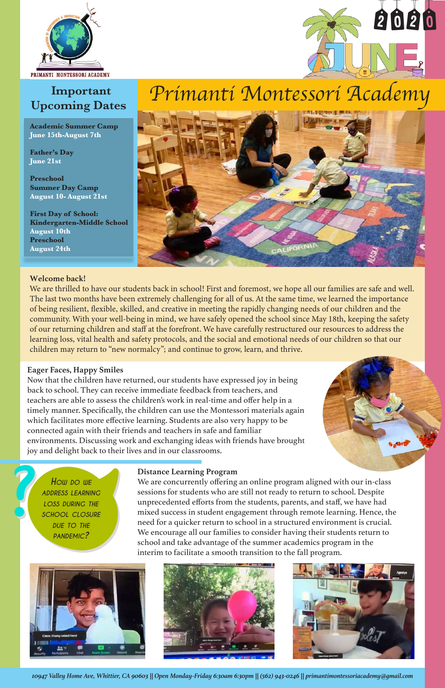# *Primanti Montessori Academy*





## **Important Upcoming Dates**

#### **Welcome back!**

We are thrilled to have our students back in school! First and foremost, we hope all our families are safe and well. The last two months have been extremely challenging for all of us. At the same time, we learned the importance of being resilient, flexible, skilled, and creative in meeting the rapidly changing needs of our children and the community. With your well-being in mind, we have safely opened the school since May 18th, keeping the safety of our returning children and staff at the forefront. We have carefully restructured our resources to address the learning loss, vital health and safety protocols, and the social and emotional needs of our children so that our children may return to "new normalcy"; and continue to grow, learn, and thrive.



*school closure due to the pandemic?*







#### **Eager Faces, Happy Smiles**

Now that the children have returned, our students have expressed joy in being back to school. They can receive immediate feedback from teachers, and teachers are able to assess the children's work in real-time and offer help in a timely manner. Specifically, the children can use the Montessori materials again which facilitates more effective learning. Students are also very happy to be connected again with their friends and teachers in safe and familiar environments. Discussing work and exchanging ideas with friends have brought joy and delight back to their lives and in our classrooms.

#### **Distance Learning Program**

We are concurrently offering an online program aligned with our in-class sessions for students who are still not ready to return to school. Despite unprecedented efforts from the students, parents, and staff, we have had mixed success in student engagement through remote learning. Hence, the need for a quicker return to school in a structured environment is crucial. We encourage all our families to consider having their students return to school and take advantage of the summer academics program in the interim to facilitate a smooth transition to the fall program.



2020

**Academic Summer Camp June 15th-August 7th**

**Father's Day June 21st**

**Preschool Summer Day Camp August 10- August 21st**

**First Day of School: Kindergarten-Middle School August 10th Preschool August 24th**

*10947 Valley Home Ave, Whittier, CA 90603 || Open Monday-Friday 6:30am 6:30pm || (562) 943-0246 || primantimontessoriacademy@gmail.com*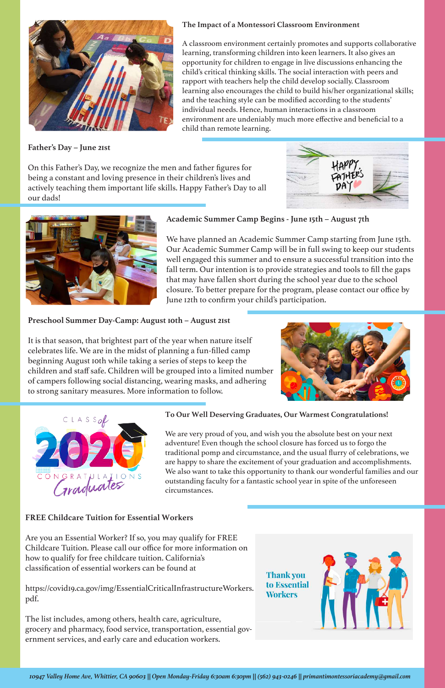**Father's Day – June 21st**

On this Father's Day, we recognize the men and father figures for being a constant and loving presence in their children's lives and actively teaching them important life skills. Happy Father's Day to all our dads!





#### **Academic Summer Camp Begins - June 15th – August 7th**

We have planned an Academic Summer Camp starting from June 15th. Our Academic Summer Camp will be in full swing to keep our students well engaged this summer and to ensure a successful transition into the fall term. Our intention is to provide strategies and tools to fill the gaps that may have fallen short during the school year due to the school closure. To better prepare for the program, please contact our office by June 12th to confirm your child's participation.

#### **Preschool Summer Day-Camp: August 10th – August 21st**

It is that season, that brightest part of the year when nature itself celebrates life. We are in the midst of planning a fun-filled camp beginning August 10th while taking a series of steps to keep the children and staff safe. Children will be grouped into a limited number of campers following social distancing, wearing masks, and adhering to strong sanitary measures. More information to follow.





#### **To Our Well Deserving Graduates, Our Warmest Congratulations!**

We are very proud of you, and wish you the absolute best on your next adventure! Even though the school closure has forced us to forgo the traditional pomp and circumstance, and the usual flurry of celebrations, we are happy to share the excitement of your graduation and accomplishments. We also want to take this opportunity to thank our wonderful families and our outstanding faculty for a fantastic school year in spite of the unforeseen circumstances.

#### **FREE Childcare Tuition for Essential Workers**

Are you an Essential Worker? If so, you may qualify for FREE Childcare Tuition. Please call our office for more information on how to qualify for free childcare tuition. California's classification of essential workers can be found at

https://covid19.ca.gov/img/EssentialCriticalInfrastructureWorkers. pdf.

The list includes, among others, health care, agriculture, grocery and pharmacy, food service, transportation, essential government services, and early care and education workers.

**Thank you** to Essential **Workers** 





#### **The Impact of a Montessori Classroom Environment**

A classroom environment certainly promotes and supports collaborative learning, transforming children into keen learners. It also gives an opportunity for children to engage in live discussions enhancing the child's critical thinking skills. The social interaction with peers and rapport with teachers help the child develop socially. Classroom learning also encourages the child to build his/her organizational skills; and the teaching style can be modified according to the students' individual needs. Hence, human interactions in a classroom environment are undeniably much more effective and beneficial to a child than remote learning.

*10947 Valley Home Ave, Whittier, CA 90603 || Open Monday-Friday 6:30am 6:30pm || (562) 943-0246 || primantimontessoriacademy@gmail.com*